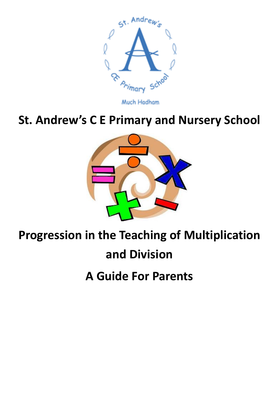

Much Hadham

## **St. Andrew's C E Primary and Nursery School**



## **Progression in the Teaching of Multiplication**

## **and Division**

**A Guide For Parents**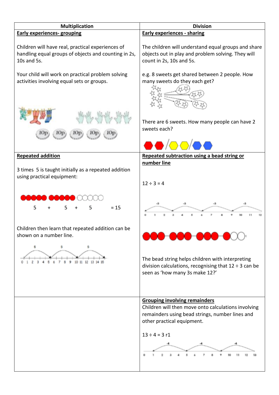| <b>Multiplication</b>                                                                                                    | <b>Division</b>                                                                                                                                                                                    |  |  |
|--------------------------------------------------------------------------------------------------------------------------|----------------------------------------------------------------------------------------------------------------------------------------------------------------------------------------------------|--|--|
| <b>Early experiences- grouping</b>                                                                                       | <b>Early experiences - sharing</b>                                                                                                                                                                 |  |  |
| Children will have real, practical experiences of<br>handling equal groups of objects and counting in 2s,<br>10s and 5s. | The children will understand equal groups and share<br>objects out in play and problem solving. They will<br>count in 2s, 10s and 5s.                                                              |  |  |
| Your child will work on practical problem solving<br>activities involving equal sets or groups.                          | e.g. 8 sweets get shared between 2 people. How<br>many sweets do they each get?                                                                                                                    |  |  |
|                                                                                                                          | There are 6 sweets. How many people can have 2<br>sweets each?                                                                                                                                     |  |  |
| <b>Repeated addition</b>                                                                                                 | Repeated subtraction using a bead string or                                                                                                                                                        |  |  |
| 3 times 5 is taught initially as a repeated addition<br>using practical equipment:                                       | number line<br>$12 \div 3 = 4$                                                                                                                                                                     |  |  |
| $= 15$<br>5<br>5                                                                                                         | -3                                                                                                                                                                                                 |  |  |
| Children then learn that repeated addition can be<br>shown on a number line.                                             |                                                                                                                                                                                                    |  |  |
| 6<br>5                                                                                                                   | The bead string helps children with interpreting<br>division calculations, recognising that $12 \div 3$ can be<br>seen as 'how many 3s make 12?'                                                   |  |  |
|                                                                                                                          | <b>Grouping involving remainders</b><br>Children will then move onto calculations involving<br>remainders using bead strings, number lines and<br>other practical equipment.<br>$13 \div 4 = 3$ r1 |  |  |
|                                                                                                                          |                                                                                                                                                                                                    |  |  |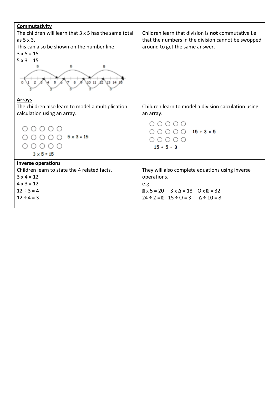| Commutativity<br>The children will learn that 3 x 5 has the same total<br>as $5 \times 3$ .<br>This can also be shown on the number line.<br>$3 \times 5 = 15$<br>$5 \times 3 = 15$<br>$11 \text{ } \chi$ <sub>2</sub> | Children learn that division is not commutative i.e<br>that the numbers in the division cannot be swopped<br>around to get the same answer.                                |
|------------------------------------------------------------------------------------------------------------------------------------------------------------------------------------------------------------------------|----------------------------------------------------------------------------------------------------------------------------------------------------------------------------|
| <b>Arrays</b><br>The children also learn to model a multiplication<br>calculation using an array.<br>$5 \times 3 = 15$<br>$3 × 5 = 15$                                                                                 | Children learn to model a division calculation using<br>an array.<br>()()<br>$\bigcirc$ $\bigcirc$ $\bigcirc$ 15 + 3 = 5<br>$\bigcirc$ $\bigcirc$<br>$15 ÷ 5 = 3$          |
| <b>Inverse operations</b><br>Children learn to state the 4 related facts.<br>$3 \times 4 = 12$<br>$4 \times 3 = 12$<br>$12 \div 3 = 4$<br>$12 \div 4 = 3$                                                              | They will also complete equations using inverse<br>operations.<br>e.g.<br>$2x 5 = 20$ $3x \Delta = 18$ $0x 2 = 32$<br>$24 \div 2 = 2$ $15 \div 0 = 3$ $\Delta \div 10 = 8$ |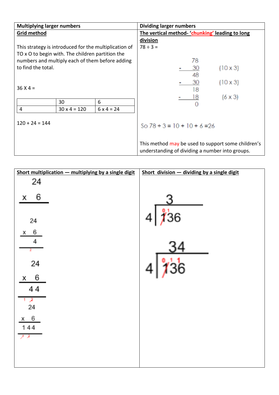| <b>Multiplying larger numbers</b>                     |                     |                                                | <b>Dividing larger numbers</b>                     |                 |                                                 |
|-------------------------------------------------------|---------------------|------------------------------------------------|----------------------------------------------------|-----------------|-------------------------------------------------|
| <b>Grid method</b>                                    |                     | The vertical method 'chunking' leading to long |                                                    |                 |                                                 |
|                                                       |                     |                                                | division                                           |                 |                                                 |
| This strategy is introduced for the multiplication of |                     | $78 \div 3 =$                                  |                                                    |                 |                                                 |
| TO x O to begin with. The children partition the      |                     |                                                |                                                    |                 |                                                 |
| numbers and multiply each of them before adding       |                     |                                                | 78                                                 |                 |                                                 |
| to find the total.                                    |                     |                                                | 30                                                 | $(10 \times 3)$ |                                                 |
|                                                       |                     |                                                |                                                    | 48              |                                                 |
|                                                       |                     |                                                |                                                    | 30              | $(10 \times 3)$                                 |
| $36 X 4 =$                                            |                     |                                                |                                                    | 18              |                                                 |
|                                                       |                     |                                                |                                                    |                 | $(6 \times 3)$                                  |
|                                                       | 30                  | 6                                              |                                                    |                 |                                                 |
| 4                                                     | $30 \times 4 = 120$ | $6 \times 4 = 24$                              |                                                    |                 |                                                 |
|                                                       |                     |                                                |                                                    |                 |                                                 |
| $120 + 24 = 144$                                      |                     |                                                | So $78 \div 3 = 10 + 10 + 6 = 26$                  |                 |                                                 |
|                                                       |                     |                                                |                                                    |                 |                                                 |
|                                                       |                     |                                                |                                                    |                 |                                                 |
|                                                       |                     |                                                | This method may be used to support some children's |                 |                                                 |
|                                                       |                     |                                                |                                                    |                 | understanding of dividing a number into groups. |

| Short multiplication - multiplying by a single digit | Short division - dividing by a single digit |
|------------------------------------------------------|---------------------------------------------|
| 24                                                   |                                             |
|                                                      |                                             |
| 6<br>x                                               |                                             |
|                                                      |                                             |
|                                                      | ∦ั36<br>4                                   |
| 24                                                   |                                             |
| 6<br>x                                               |                                             |
| 4                                                    |                                             |
|                                                      |                                             |
|                                                      |                                             |
| 24                                                   | 36                                          |
| 6<br>x                                               |                                             |
| 44                                                   |                                             |
|                                                      |                                             |
| 2                                                    |                                             |
| 24                                                   |                                             |
| 6<br>X                                               |                                             |
| 144                                                  |                                             |
|                                                      |                                             |
|                                                      |                                             |
|                                                      |                                             |
|                                                      |                                             |